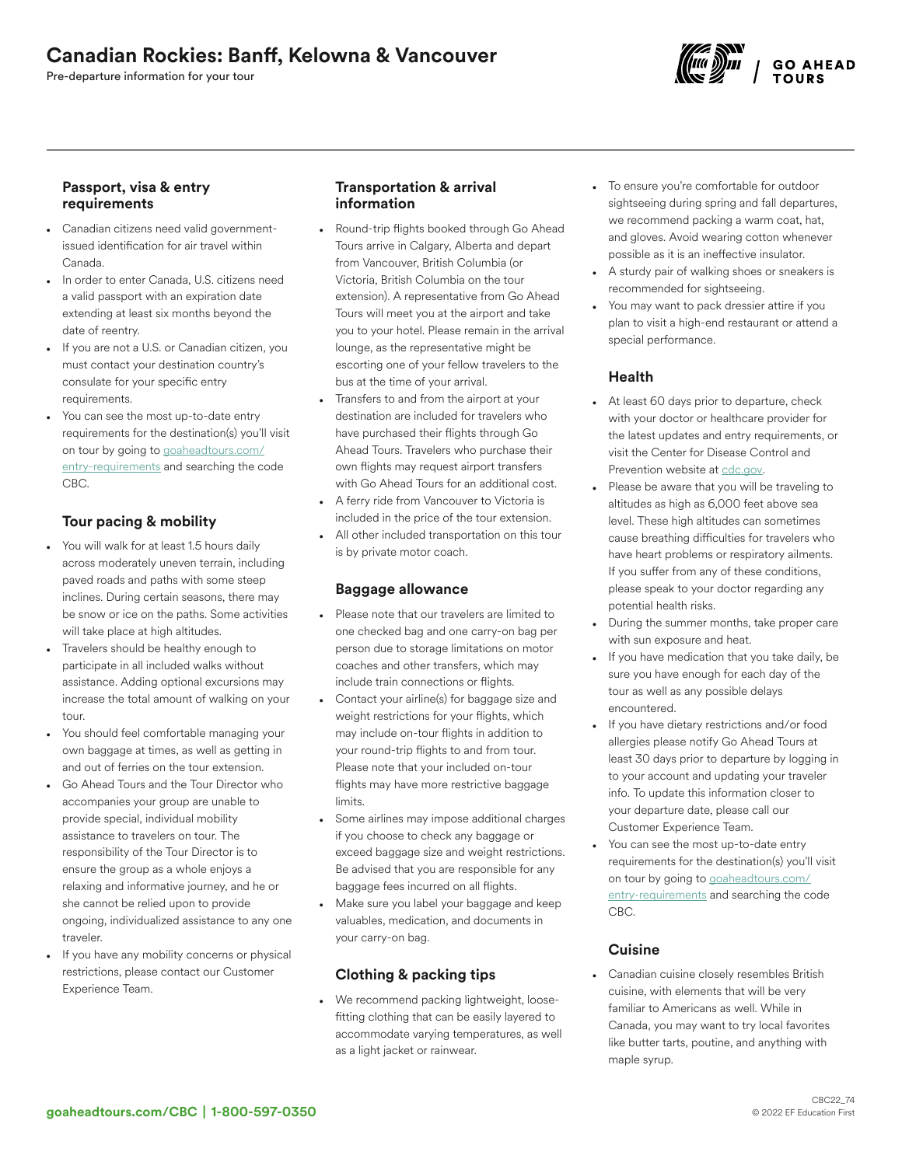# Canadian Rockies: Banff, Kelowna & Vancouver

Pre-departure information for your tour



### Passport, visa & entry requirements

- Canadian citizens need valid governmentissued identification for air travel within Canada.
- In order to enter Canada, U.S. citizens need a valid passport with an expiration date extending at least six months beyond the date of reentry.
- If you are not a U.S. or Canadian citizen, you must contact your destination country's consulate for your specific entry requirements.
- You can see the most up-to-date entry requirements for the destination(s) you'll visit on tour by going to [goaheadtours.com/](/entry-requirements?tourCode=CBC) [entry-requirements](/entry-requirements?tourCode=CBC) and searching the code CBC.

## Tour pacing & mobility

- You will walk for at least 1.5 hours daily across moderately uneven terrain, including paved roads and paths with some steep inclines. During certain seasons, there may be snow or ice on the paths. Some activities will take place at high altitudes.
- Travelers should be healthy enough to participate in all included walks without assistance. Adding optional excursions may increase the total amount of walking on your tour.
- You should feel comfortable managing your own baggage at times, as well as getting in and out of ferries on the tour extension.
- Go Ahead Tours and the Tour Director who accompanies your group are unable to provide special, individual mobility assistance to travelers on tour. The responsibility of the Tour Director is to ensure the group as a whole enjoys a relaxing and informative journey, and he or she cannot be relied upon to provide ongoing, individualized assistance to any one traveler.
- If you have any mobility concerns or physical restrictions, please contact our Customer Experience Team.

## Transportation & arrival information

- Round-trip flights booked through Go Ahead Tours arrive in Calgary, Alberta and depart from Vancouver, British Columbia (or Victoria, British Columbia on the tour extension). A representative from Go Ahead Tours will meet you at the airport and take you to your hotel. Please remain in the arrival lounge, as the representative might be escorting one of your fellow travelers to the bus at the time of your arrival.
- Transfers to and from the airport at your destination are included for travelers who have purchased their flights through Go Ahead Tours. Travelers who purchase their own flights may request airport transfers with Go Ahead Tours for an additional cost.
- A ferry ride from Vancouver to Victoria is included in the price of the tour extension. All other included transportation on this tour is by private motor coach.

## Baggage allowance

- Please note that our travelers are limited to one checked bag and one carry-on bag per person due to storage limitations on motor coaches and other transfers, which may include train connections or flights.
- Contact your airline(s) for baggage size and weight restrictions for your flights, which may include on-tour flights in addition to your round-trip flights to and from tour. Please note that your included on-tour flights may have more restrictive baggage limits.
- Some airlines may impose additional charges if you choose to check any baggage or exceed baggage size and weight restrictions. Be advised that you are responsible for any baggage fees incurred on all flights.
- Make sure you label your baggage and keep valuables, medication, and documents in your carry-on bag.

## Clothing & packing tips

• We recommend packing lightweight, loosefitting clothing that can be easily layered to accommodate varying temperatures, as well as a light jacket or rainwear.

- To ensure you're comfortable for outdoor sightseeing during spring and fall departures, we recommend packing a warm coat, hat, and gloves. Avoid wearing cotton whenever possible as it is an ineffective insulator.
- A sturdy pair of walking shoes or sneakers is recommended for sightseeing.
- You may want to pack dressier attire if you plan to visit a high-end restaurant or attend a special performance.

## Health

- At least 60 days prior to departure, check with your doctor or healthcare provider for the latest updates and entry requirements, or visit the Center for Disease Control and Prevention website at [cdc.gov.](https://www.cdc.gov/)
- Please be aware that you will be traveling to altitudes as high as 6,000 feet above sea level. These high altitudes can sometimes cause breathing difficulties for travelers who have heart problems or respiratory ailments. If you suffer from any of these conditions, please speak to your doctor regarding any potential health risks.
- During the summer months, take proper care with sun exposure and heat.
- If you have medication that you take daily, be sure you have enough for each day of the tour as well as any possible delays encountered.
- If you have dietary restrictions and/or food allergies please notify Go Ahead Tours at least 30 days prior to departure by logging in to your account and updating your traveler info. To update this information closer to your departure date, please call our Customer Experience Team.
- You can see the most up-to-date entry requirements for the destination(s) you'll visit on tour by going to [goaheadtours.com/](/entry-requirements?tourCode=CBC) [entry-requirements](/entry-requirements?tourCode=CBC) and searching the code CBC.

## **Cuisine**

• Canadian cuisine closely resembles British cuisine, with elements that will be very familiar to Americans as well. While in Canada, you may want to try local favorites like butter tarts, poutine, and anything with maple syrup.